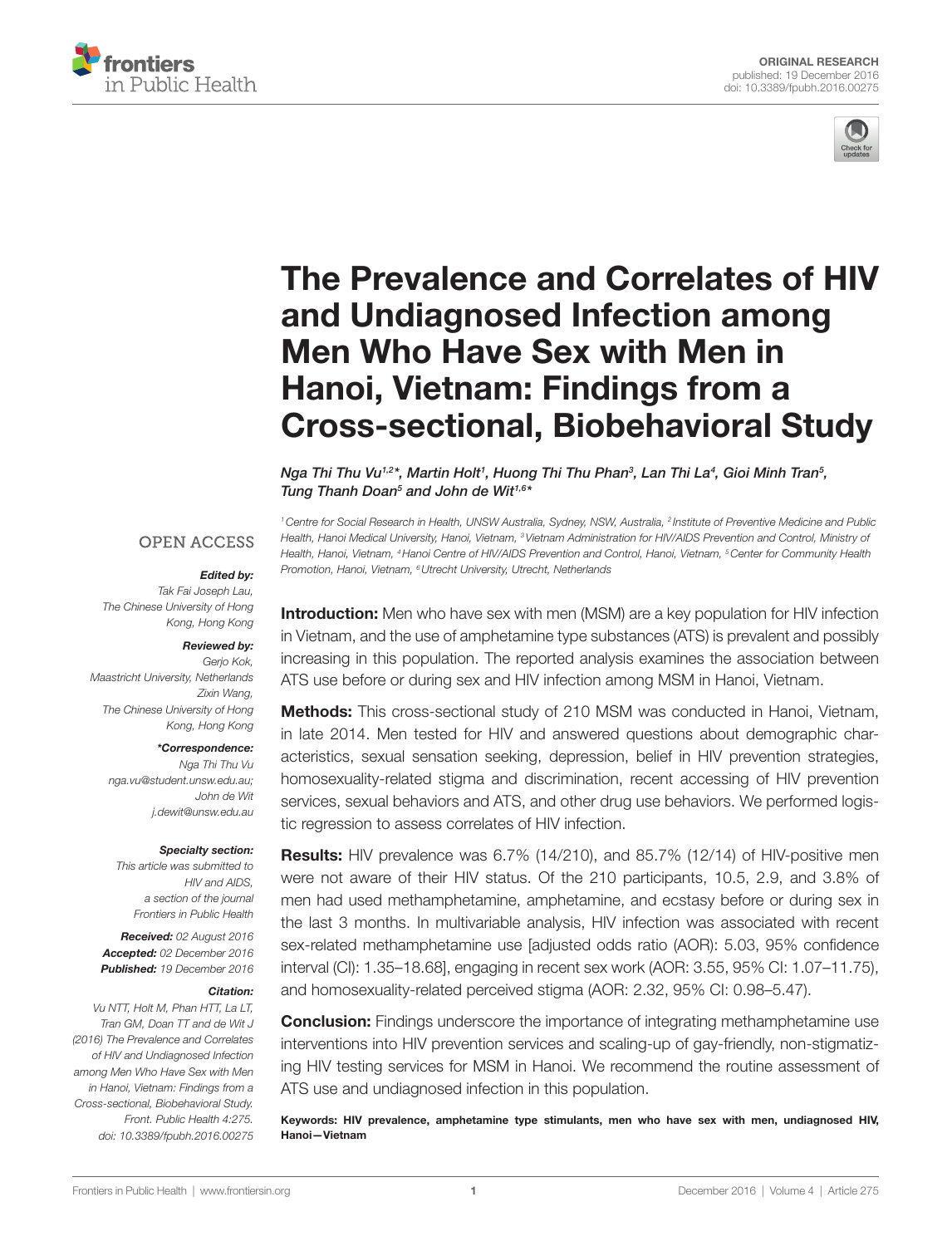



# The Prevalence and Correlates of HIV [and Undiagnosed infection among](http://www.frontiersin.org/Journal/10.3389/fpubh.2016.00275/abstract)  **Men Who Have Sex with Men in** [hanoi, Vietnam: Findings from a](http://www.frontiersin.org/Journal/10.3389/fpubh.2016.00275/abstract)  [cross-sectional, Biobehavioral study](http://www.frontiersin.org/Journal/10.3389/fpubh.2016.00275/abstract)

*[Nga Thi Thu Vu1](http://loop.frontiersin.org/people/379552),2\*, [Martin Holt1](http://loop.frontiersin.org/people/379547) , Huong Thi Thu Phan3 , Lan Thi La4 , [Gioi Minh Tran5](http://loop.frontiersin.org/people/385026) , [Tung Thanh Doan5](http://loop.frontiersin.org/people/398801) and [John de Wit1](http://loop.frontiersin.org/people/121597),6\**

*Promotion, Hanoi, Vietnam, 6Utrecht University, Utrecht, Netherlands*

#### **OPEN ACCESS**

#### *Edited by:*

*Tak Fai Joseph Lau, The Chinese University of Hong Kong, Hong Kong*

#### *Reviewed by:*

*Gerjo Kok, Maastricht University, Netherlands Zixin Wang, The Chinese University of Hong Kong, Hong Kong*

#### *\*Correspondence:*

*Nga Thi Thu Vu [nga.vu@student.unsw.edu.au;](mailto:nga.vu@student.unsw.edu.au) John de Wit [j.dewit@unsw.edu.au](mailto:j.dewit@unsw.edu.au)*

#### *Specialty section:*

*This article was submitted to HIV and AIDS, a section of the journal Frontiers in Public Health*

*Received: 02 August 2016 Accepted: 02 December 2016 Published: 19 December 2016*

#### *Citation:*

*Vu NTT, Holt M, Phan HTT, La LT, Tran GM, Doan TT and de Wit J (2016) The Prevalence and Correlates of HIV and Undiagnosed Infection among Men Who Have Sex with Men in Hanoi, Vietnam: Findings from a Cross-sectional, Biobehavioral Study. Front. Public Health 4:275. doi: [10.3389/fpubh.2016.00275](https://doi.org/10.3389/fpubh.2016.00275)* **Introduction:** Men who have sex with men (MSM) are a key population for HIV infection in Vietnam, and the use of amphetamine type substances (ATS) is prevalent and possibly increasing in this population. The reported analysis examines the association between ATS use before or during sex and HIV infection among MSM in Hanoi, Vietnam.

*1Centre for Social Research in Health, UNSW Australia, Sydney, NSW, Australia, 2 Institute of Preventive Medicine and Public Health, Hanoi Medical University, Hanoi, Vietnam, 3Vietnam Administration for HIV/AIDS Prevention and Control, Ministry of Health, Hanoi, Vietnam, 4Hanoi Centre of HIV/AIDS Prevention and Control, Hanoi, Vietnam, 5Center for Community Health* 

Methods: This cross-sectional study of 210 MSM was conducted in Hanoi, Vietnam, in late 2014. Men tested for HIV and answered questions about demographic characteristics, sexual sensation seeking, depression, belief in HIV prevention strategies, homosexuality-related stigma and discrimination, recent accessing of HIV prevention services, sexual behaviors and ATS, and other drug use behaviors. We performed logistic regression to assess correlates of HIV infection.

**Results:** HIV prevalence was 6.7% (14/210), and 85.7% (12/14) of HIV-positive men were not aware of their HIV status. Of the 210 participants, 10.5, 2.9, and 3.8% of men had used methamphetamine, amphetamine, and ecstasy before or during sex in the last 3 months. In multivariable analysis, HIV infection was associated with recent sex-related methamphetamine use [adjusted odds ratio (AOR): 5.03, 95% confidence interval (Cl): 1.35-18.68], engaging in recent sex work (AOR: 3.55, 95% Cl: 1.07-11.75), and homosexuality-related perceived stigma (AOR: 2.32, 95% CI: 0.98-5.47).

**Conclusion:** Findings underscore the importance of integrating methamphetamine use interventions into HIV prevention services and scaling-up of gay-friendly, non-stigmatizing HIV testing services for MSM in Hanoi. We recommend the routine assessment of ATS use and undiagnosed infection in this population.

Keywords: HIV prevalence, amphetamine type stimulants, men who have sex with men, undiagnosed HIV, Hanoi—Vietnam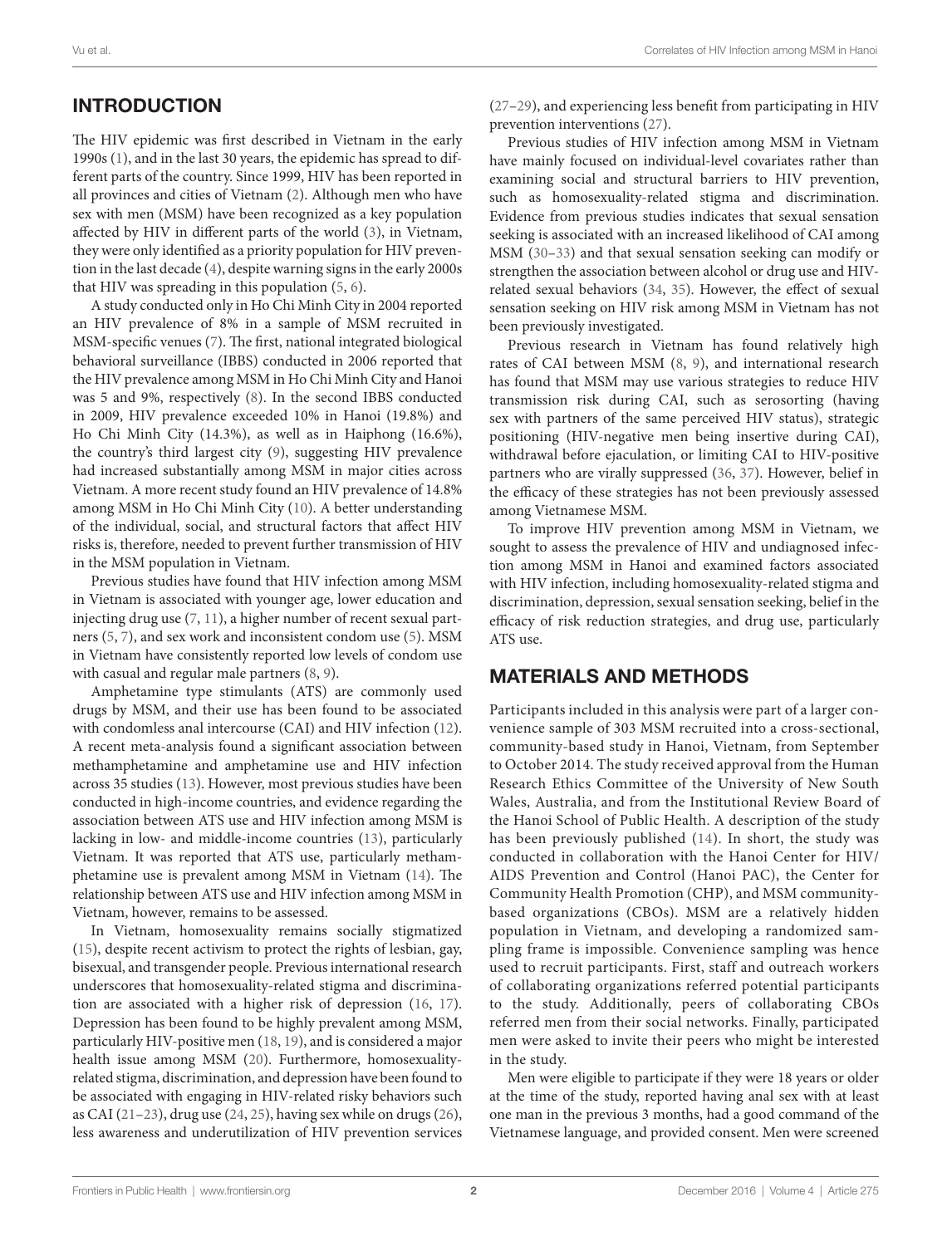# INTRODUCTION

The HIV epidemic was first described in Vietnam in the early 1990s [\(1\)](#page-7-0), and in the last 30 years, the epidemic has spread to different parts of the country. Since 1999, HIV has been reported in all provinces and cities of Vietnam ([2](#page-7-1)). Although men who have sex with men (MSM) have been recognized as a key population affected by HIV in different parts of the world ([3](#page-7-2)), in Vietnam, they were only identified as a priority population for HIV prevention in the last decade ([4\)](#page-7-3), despite warning signs in the early 2000s that HIV was spreading in this population [\(5,](#page-7-4) [6\)](#page-7-5).

A study conducted only in Ho Chi Minh City in 2004 reported an HIV prevalence of 8% in a sample of MSM recruited in MSM-specific venues [\(7](#page-7-6)). The first, national integrated biological behavioral surveillance (IBBS) conducted in 2006 reported that the HIV prevalence among MSM in Ho Chi Minh City and Hanoi was 5 and 9%, respectively ([8](#page-7-7)). In the second IBBS conducted in 2009, HIV prevalence exceeded 10% in Hanoi (19.8%) and Ho Chi Minh City (14.3%), as well as in Haiphong (16.6%), the country's third largest city ([9](#page-7-8)), suggesting HIV prevalence had increased substantially among MSM in major cities across Vietnam. A more recent study found an HIV prevalence of 14.8% among MSM in Ho Chi Minh City [\(10](#page-7-9)). A better understanding of the individual, social, and structural factors that affect HIV risks is, therefore, needed to prevent further transmission of HIV in the MSM population in Vietnam.

Previous studies have found that HIV infection among MSM in Vietnam is associated with younger age, lower education and injecting drug use ([7](#page-7-6), [11\)](#page-7-10), a higher number of recent sexual partners ([5](#page-7-4), [7](#page-7-6)), and sex work and inconsistent condom use ([5](#page-7-4)). MSM in Vietnam have consistently reported low levels of condom use with casual and regular male partners [\(8,](#page-7-7) [9\)](#page-7-8).

Amphetamine type stimulants (ATS) are commonly used drugs by MSM, and their use has been found to be associated with condomless anal intercourse (CAI) and HIV infection ([12\)](#page-7-11). A recent meta-analysis found a significant association between methamphetamine and amphetamine use and HIV infection across 35 studies [\(13\)](#page-7-12). However, most previous studies have been conducted in high-income countries, and evidence regarding the association between ATS use and HIV infection among MSM is lacking in low- and middle-income countries [\(13\)](#page-7-12), particularly Vietnam. It was reported that ATS use, particularly methamphetamine use is prevalent among MSM in Vietnam [\(14](#page-7-13)). The relationship between ATS use and HIV infection among MSM in Vietnam, however, remains to be assessed.

In Vietnam, homosexuality remains socially stigmatized ([15\)](#page-8-0), despite recent activism to protect the rights of lesbian, gay, bisexual, and transgender people. Previous international research underscores that homosexuality-related stigma and discrimination are associated with a higher risk of depression [\(16](#page-8-1), [17\)](#page-8-2). Depression has been found to be highly prevalent among MSM, particularly HIV-positive men ([18,](#page-8-3) [19\)](#page-8-4), and is considered a major health issue among MSM ([20\)](#page-8-5). Furthermore, homosexualityrelated stigma, discrimination, and depression have been found to be associated with engaging in HIV-related risky behaviors such as CAI ([21–](#page-8-6)[23\)](#page-8-7), drug use ([24,](#page-8-8) [25\)](#page-8-9), having sex while on drugs ([26\)](#page-8-10), less awareness and underutilization of HIV prevention services [\(27](#page-8-11)[–29\)](#page-8-12), and experiencing less benefit from participating in HIV prevention interventions [\(27](#page-8-11)).

Previous studies of HIV infection among MSM in Vietnam have mainly focused on individual-level covariates rather than examining social and structural barriers to HIV prevention, such as homosexuality-related stigma and discrimination. Evidence from previous studies indicates that sexual sensation seeking is associated with an increased likelihood of CAI among MSM ([30–](#page-8-13)[33\)](#page-8-14) and that sexual sensation seeking can modify or strengthen the association between alcohol or drug use and HIVrelated sexual behaviors [\(34](#page-8-15), [35\)](#page-8-16). However, the effect of sexual sensation seeking on HIV risk among MSM in Vietnam has not been previously investigated.

Previous research in Vietnam has found relatively high rates of CAI between MSM ([8](#page-7-7), [9\)](#page-7-8), and international research has found that MSM may use various strategies to reduce HIV transmission risk during CAI, such as serosorting (having sex with partners of the same perceived HIV status), strategic positioning (HIV-negative men being insertive during CAI), withdrawal before ejaculation, or limiting CAI to HIV-positive partners who are virally suppressed ([36,](#page-8-17) [37\)](#page-8-18). However, belief in the efficacy of these strategies has not been previously assessed among Vietnamese MSM.

To improve HIV prevention among MSM in Vietnam, we sought to assess the prevalence of HIV and undiagnosed infection among MSM in Hanoi and examined factors associated with HIV infection, including homosexuality-related stigma and discrimination, depression, sexual sensation seeking, belief in the efficacy of risk reduction strategies, and drug use, particularly ATS use.

#### MATERIALS AND METHODS

Participants included in this analysis were part of a larger convenience sample of 303 MSM recruited into a cross-sectional, community-based study in Hanoi, Vietnam, from September to October 2014. The study received approval from the Human Research Ethics Committee of the University of New South Wales, Australia, and from the Institutional Review Board of the Hanoi School of Public Health. A description of the study has been previously published [\(14\)](#page-7-13). In short, the study was conducted in collaboration with the Hanoi Center for HIV/ AIDS Prevention and Control (Hanoi PAC), the Center for Community Health Promotion (CHP), and MSM communitybased organizations (CBOs). MSM are a relatively hidden population in Vietnam, and developing a randomized sampling frame is impossible. Convenience sampling was hence used to recruit participants. First, staff and outreach workers of collaborating organizations referred potential participants to the study. Additionally, peers of collaborating CBOs referred men from their social networks. Finally, participated men were asked to invite their peers who might be interested in the study.

Men were eligible to participate if they were 18 years or older at the time of the study, reported having anal sex with at least one man in the previous 3 months, had a good command of the Vietnamese language, and provided consent. Men were screened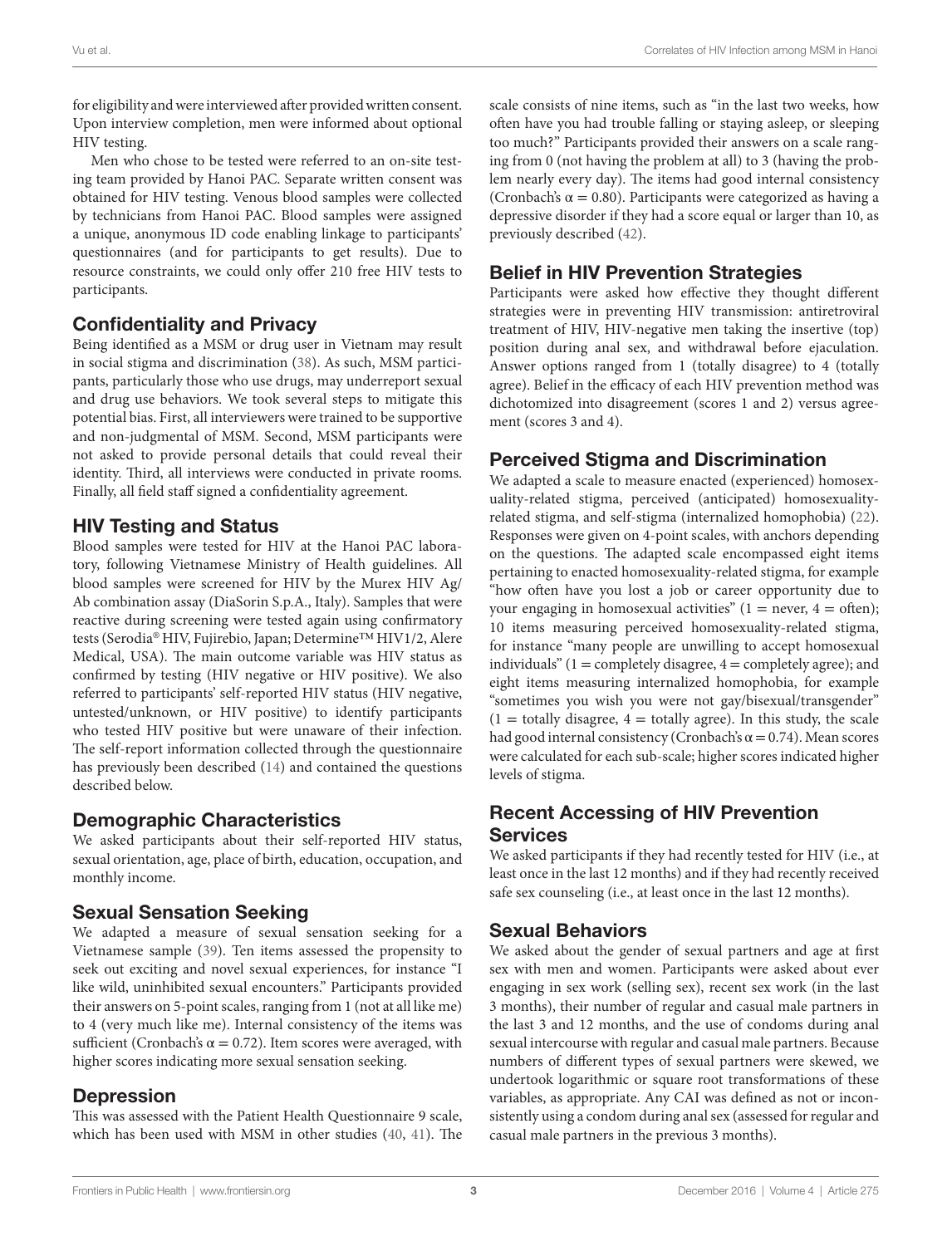for eligibility and were interviewed after provided written consent. Upon interview completion, men were informed about optional HIV testing.

Men who chose to be tested were referred to an on-site testing team provided by Hanoi PAC. Separate written consent was obtained for HIV testing. Venous blood samples were collected by technicians from Hanoi PAC. Blood samples were assigned a unique, anonymous ID code enabling linkage to participants' questionnaires (and for participants to get results). Due to resource constraints, we could only offer 210 free HIV tests to participants.

# Confidentiality and Privacy

Being identified as a MSM or drug user in Vietnam may result in social stigma and discrimination ([38\)](#page-8-19). As such, MSM participants, particularly those who use drugs, may underreport sexual and drug use behaviors. We took several steps to mitigate this potential bias. First, all interviewers were trained to be supportive and non-judgmental of MSM. Second, MSM participants were not asked to provide personal details that could reveal their identity. Third, all interviews were conducted in private rooms. Finally, all field staff signed a confidentiality agreement.

### HIV Testing and Status

Blood samples were tested for HIV at the Hanoi PAC laboratory, following Vietnamese Ministry of Health guidelines. All blood samples were screened for HIV by the Murex HIV Ag/ Ab combination assay (DiaSorin S.p.A., Italy). Samples that were reactive during screening were tested again using confirmatory tests (Serodia® HIV, Fujirebio, Japan; Determine™ HIV1/2, Alere Medical, USA). The main outcome variable was HIV status as confirmed by testing (HIV negative or HIV positive). We also referred to participants' self-reported HIV status (HIV negative, untested/unknown, or HIV positive) to identify participants who tested HIV positive but were unaware of their infection. The self-report information collected through the questionnaire has previously been described [\(14](#page-7-13)) and contained the questions described below.

# Demographic Characteristics

We asked participants about their self-reported HIV status, sexual orientation, age, place of birth, education, occupation, and monthly income.

# Sexual Sensation Seeking

We adapted a measure of sexual sensation seeking for a Vietnamese sample ([39\)](#page-8-20). Ten items assessed the propensity to seek out exciting and novel sexual experiences, for instance "I like wild, uninhibited sexual encounters." Participants provided their answers on 5-point scales, ranging from 1 (not at all like me) to 4 (very much like me). Internal consistency of the items was sufficient (Cronbach's  $\alpha = 0.72$ ). Item scores were averaged, with higher scores indicating more sexual sensation seeking.

### Depression

This was assessed with the Patient Health Questionnaire 9 scale, which has been used with MSM in other studies ([40,](#page-8-21) [41](#page-8-22)). The scale consists of nine items, such as "in the last two weeks, how often have you had trouble falling or staying asleep, or sleeping too much?" Participants provided their answers on a scale ranging from 0 (not having the problem at all) to 3 (having the problem nearly every day). The items had good internal consistency (Cronbach's  $\alpha$  = 0.80). Participants were categorized as having a depressive disorder if they had a score equal or larger than 10, as previously described ([42\)](#page-8-23).

# Belief in HIV Prevention Strategies

Participants were asked how effective they thought different strategies were in preventing HIV transmission: antiretroviral treatment of HIV, HIV-negative men taking the insertive (top) position during anal sex, and withdrawal before ejaculation. Answer options ranged from 1 (totally disagree) to 4 (totally agree). Belief in the efficacy of each HIV prevention method was dichotomized into disagreement (scores 1 and 2) versus agreement (scores 3 and 4).

# Perceived Stigma and Discrimination

We adapted a scale to measure enacted (experienced) homosexuality-related stigma, perceived (anticipated) homosexualityrelated stigma, and self-stigma (internalized homophobia) [\(22](#page-8-24)). Responses were given on 4-point scales, with anchors depending on the questions. The adapted scale encompassed eight items pertaining to enacted homosexuality-related stigma, for example "how often have you lost a job or career opportunity due to your engaging in homosexual activities"  $(1 = never, 4 = often);$ 10 items measuring perceived homosexuality-related stigma, for instance "many people are unwilling to accept homosexual individuals" ( $1 =$  completely disagree,  $4 =$  completely agree); and eight items measuring internalized homophobia, for example "sometimes you wish you were not gay/bisexual/transgender"  $(1 =$  totally disagree,  $4 =$  totally agree). In this study, the scale had good internal consistency (Cronbach's  $\alpha$  = 0.74). Mean scores were calculated for each sub-scale; higher scores indicated higher levels of stigma.

### Recent Accessing of HIV Prevention **Services**

We asked participants if they had recently tested for HIV (i.e., at least once in the last 12 months) and if they had recently received safe sex counseling (i.e., at least once in the last 12 months).

### Sexual Behaviors

We asked about the gender of sexual partners and age at first sex with men and women. Participants were asked about ever engaging in sex work (selling sex), recent sex work (in the last 3 months), their number of regular and casual male partners in the last 3 and 12 months, and the use of condoms during anal sexual intercourse with regular and casual male partners. Because numbers of different types of sexual partners were skewed, we undertook logarithmic or square root transformations of these variables, as appropriate. Any CAI was defined as not or inconsistently using a condom during anal sex (assessed for regular and casual male partners in the previous 3 months).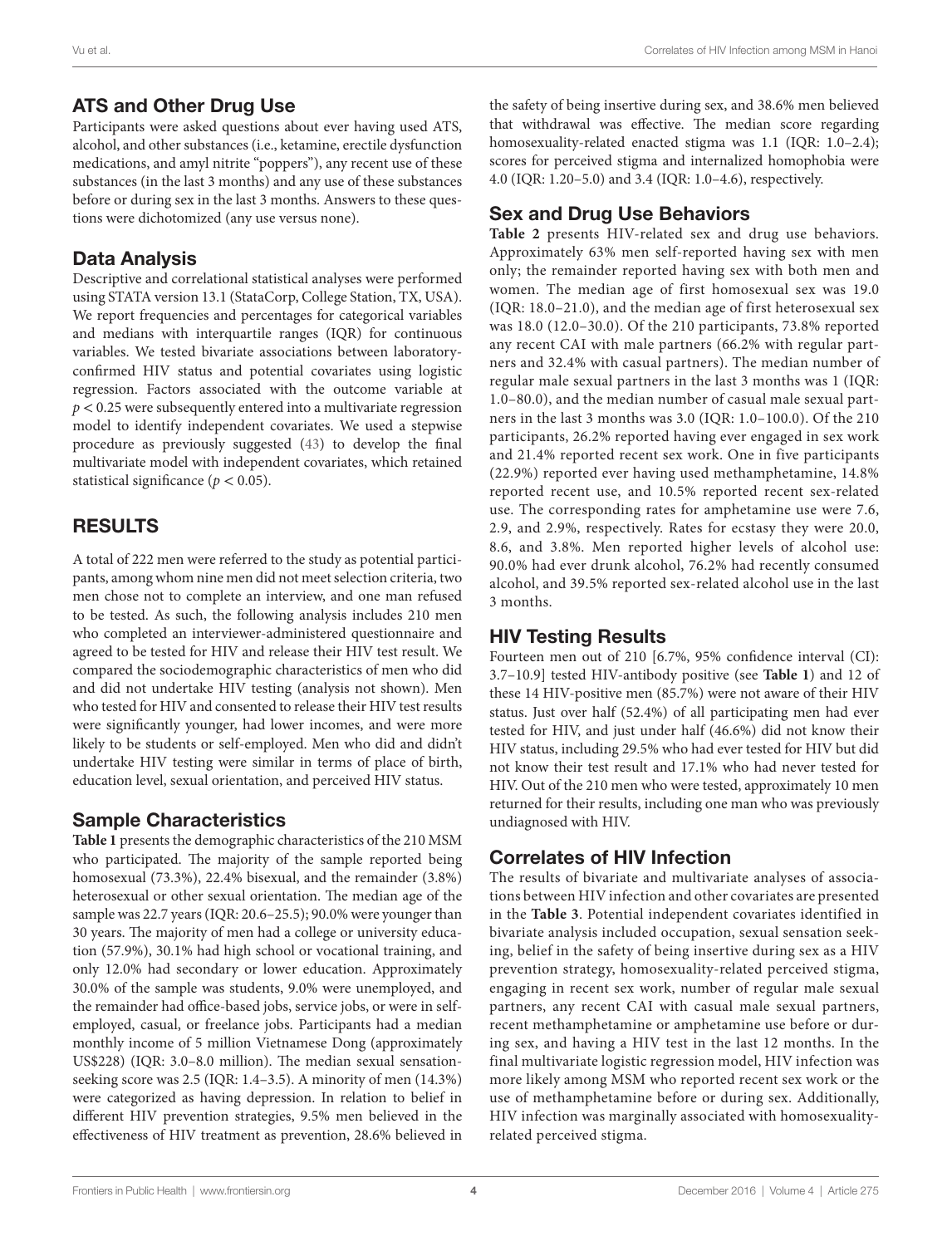### ATS and Other Drug Use

Participants were asked questions about ever having used ATS, alcohol, and other substances (i.e., ketamine, erectile dysfunction medications, and amyl nitrite "poppers"), any recent use of these substances (in the last 3 months) and any use of these substances before or during sex in the last 3 months. Answers to these questions were dichotomized (any use versus none).

### Data Analysis

Descriptive and correlational statistical analyses were performed using STATA version 13.1 (StataCorp, College Station, TX, USA). We report frequencies and percentages for categorical variables and medians with interquartile ranges (IQR) for continuous variables. We tested bivariate associations between laboratoryconfirmed HIV status and potential covariates using logistic regression. Factors associated with the outcome variable at  $p < 0.25$  were subsequently entered into a multivariate regression model to identify independent covariates. We used a stepwise procedure as previously suggested ([43\)](#page-8-25) to develop the final multivariate model with independent covariates, which retained statistical significance ( $p < 0.05$ ).

# RESULTS

A total of 222 men were referred to the study as potential participants, among whom nine men did not meet selection criteria, two men chose not to complete an interview, and one man refused to be tested. As such, the following analysis includes 210 men who completed an interviewer-administered questionnaire and agreed to be tested for HIV and release their HIV test result. We compared the sociodemographic characteristics of men who did and did not undertake HIV testing (analysis not shown). Men who tested for HIV and consented to release their HIV test results were significantly younger, had lower incomes, and were more likely to be students or self-employed. Men who did and didn't undertake HIV testing were similar in terms of place of birth, education level, sexual orientation, and perceived HIV status.

# Sample Characteristics

**[Table 1](#page-4-0)** presents the demographic characteristics of the 210 MSM who participated. The majority of the sample reported being homosexual (73.3%), 22.4% bisexual, and the remainder (3.8%) heterosexual or other sexual orientation. The median age of the sample was 22.7 years (IQR: 20.6–25.5); 90.0% were younger than 30 years. The majority of men had a college or university education (57.9%), 30.1% had high school or vocational training, and only 12.0% had secondary or lower education. Approximately 30.0% of the sample was students, 9.0% were unemployed, and the remainder had office-based jobs, service jobs, or were in selfemployed, casual, or freelance jobs. Participants had a median monthly income of 5 million Vietnamese Dong (approximately US\$228) (IQR: 3.0–8.0 million). The median sexual sensationseeking score was 2.5 (IQR: 1.4–3.5). A minority of men (14.3%) were categorized as having depression. In relation to belief in different HIV prevention strategies, 9.5% men believed in the effectiveness of HIV treatment as prevention, 28.6% believed in

the safety of being insertive during sex, and 38.6% men believed that withdrawal was effective. The median score regarding homosexuality-related enacted stigma was 1.1 (IQR: 1.0–2.4); scores for perceived stigma and internalized homophobia were 4.0 (IQR: 1.20–5.0) and 3.4 (IQR: 1.0–4.6), respectively.

# Sex and Drug Use Behaviors

**[Table 2](#page-5-0)** presents HIV-related sex and drug use behaviors. Approximately 63% men self-reported having sex with men only; the remainder reported having sex with both men and women. The median age of first homosexual sex was 19.0 (IQR: 18.0–21.0), and the median age of first heterosexual sex was 18.0 (12.0–30.0). Of the 210 participants, 73.8% reported any recent CAI with male partners (66.2% with regular partners and 32.4% with casual partners). The median number of regular male sexual partners in the last 3 months was 1 (IQR: 1.0–80.0), and the median number of casual male sexual partners in the last 3 months was 3.0 (IQR: 1.0–100.0). Of the 210 participants, 26.2% reported having ever engaged in sex work and 21.4% reported recent sex work. One in five participants (22.9%) reported ever having used methamphetamine, 14.8% reported recent use, and 10.5% reported recent sex-related use. The corresponding rates for amphetamine use were 7.6, 2.9, and 2.9%, respectively. Rates for ecstasy they were 20.0, 8.6, and 3.8%. Men reported higher levels of alcohol use: 90.0% had ever drunk alcohol, 76.2% had recently consumed alcohol, and 39.5% reported sex-related alcohol use in the last 3 months.

### HIV Testing Results

Fourteen men out of 210 [6.7%, 95% confidence interval (CI): 3.7–10.9] tested HIV-antibody positive (see **[Table 1](#page-4-0)**) and 12 of these 14 HIV-positive men (85.7%) were not aware of their HIV status. Just over half (52.4%) of all participating men had ever tested for HIV, and just under half (46.6%) did not know their HIV status, including 29.5% who had ever tested for HIV but did not know their test result and 17.1% who had never tested for HIV. Out of the 210 men who were tested, approximately 10 men returned for their results, including one man who was previously undiagnosed with HIV.

# Correlates of HIV Infection

The results of bivariate and multivariate analyses of associations between HIV infection and other covariates are presented in the **[Table 3](#page-6-0)**. Potential independent covariates identified in bivariate analysis included occupation, sexual sensation seeking, belief in the safety of being insertive during sex as a HIV prevention strategy, homosexuality-related perceived stigma, engaging in recent sex work, number of regular male sexual partners, any recent CAI with casual male sexual partners, recent methamphetamine or amphetamine use before or during sex, and having a HIV test in the last 12 months. In the final multivariate logistic regression model, HIV infection was more likely among MSM who reported recent sex work or the use of methamphetamine before or during sex. Additionally, HIV infection was marginally associated with homosexualityrelated perceived stigma.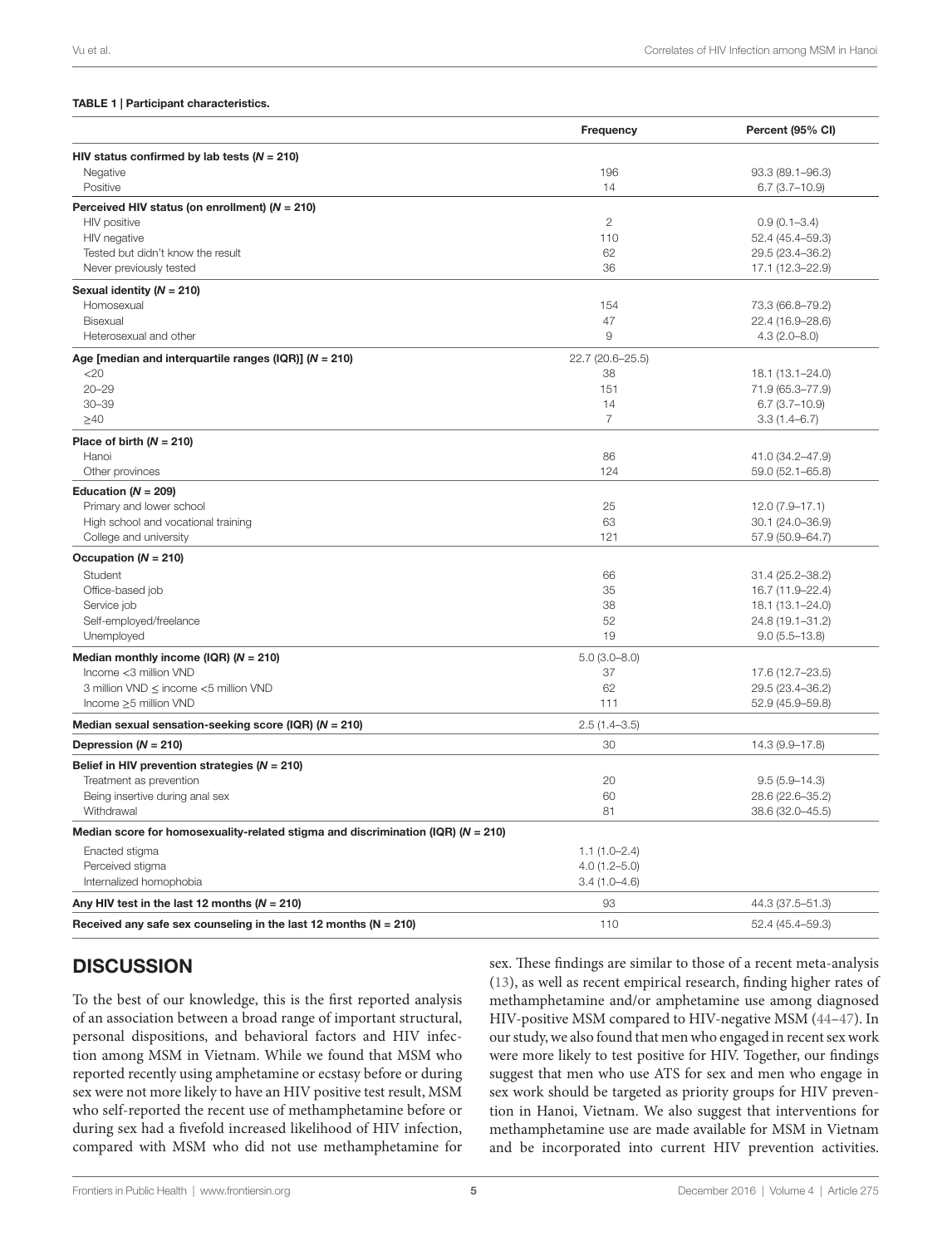#### <span id="page-4-0"></span>TABLE 1 | Participant characteristics.

|                                                                                      | Frequency        | Percent (95% CI)  |
|--------------------------------------------------------------------------------------|------------------|-------------------|
| HIV status confirmed by lab tests ( $N = 210$ )                                      |                  |                   |
| Negative                                                                             | 196              | 93.3 (89.1-96.3)  |
| Positive                                                                             | 14               | $6.7(3.7-10.9)$   |
| Perceived HIV status (on enrollment) ( $N = 210$ )                                   |                  |                   |
| HIV positive                                                                         | $\overline{2}$   | $0.9(0.1 - 3.4)$  |
| HIV negative                                                                         | 110              | 52.4 (45.4-59.3)  |
| Tested but didn't know the result                                                    | 62               | 29.5 (23.4-36.2)  |
| Never previously tested                                                              | 36               | 17.1 (12.3-22.9)  |
| Sexual identity ( $N = 210$ )                                                        |                  |                   |
| Homosexual                                                                           | 154              | 73.3 (66.8-79.2)  |
| Bisexual                                                                             | 47               | 22.4 (16.9-28.6)  |
| Heterosexual and other                                                               | 9                | $4.3(2.0 - 8.0)$  |
| Age [median and interquartile ranges (IQR)] ( $N = 210$ )                            | 22.7 (20.6-25.5) |                   |
| $<$ 20                                                                               | 38               | 18.1 (13.1-24.0)  |
| $20 - 29$                                                                            | 151              | 71.9 (65.3-77.9)  |
| $30 - 39$                                                                            | 14               | $6.7(3.7-10.9)$   |
| $\geq 40$                                                                            | $\overline{7}$   | $3.3(1.4 - 6.7)$  |
|                                                                                      |                  |                   |
| Place of birth $(N = 210)$<br>Hanoi                                                  | 86               | 41.0 (34.2-47.9)  |
| Other provinces                                                                      | 124              | 59.0 (52.1-65.8)  |
|                                                                                      |                  |                   |
| Education ( $N = 209$ )                                                              |                  |                   |
| Primary and lower school                                                             | 25               | 12.0 (7.9-17.1)   |
| High school and vocational training                                                  | 63               | 30.1 (24.0-36.9)  |
| College and university                                                               | 121              | 57.9 (50.9-64.7)  |
| Occupation ( $N = 210$ )                                                             |                  |                   |
| Student                                                                              | 66               | 31.4 (25.2-38.2)  |
| Office-based job                                                                     | 35               | 16.7 (11.9-22.4)  |
| Service job                                                                          | 38               | 18.1 (13.1-24.0)  |
| Self-employed/freelance                                                              | 52               | 24.8 (19.1-31.2)  |
| Unemployed                                                                           | 19               | $9.0(5.5 - 13.8)$ |
| Median monthly income (IQR) ( $N = 210$ )                                            | $5.0(3.0 - 8.0)$ |                   |
| Income <3 million VND                                                                | 37               | 17.6 (12.7-23.5)  |
| 3 million VND ≤ income <5 million VND                                                | 62               | 29.5 (23.4-36.2)  |
| Income ≥5 million VND                                                                | 111              | 52.9 (45.9-59.8)  |
| Median sexual sensation-seeking score (IQR) ( $N = 210$ )                            | $2.5(1.4 - 3.5)$ |                   |
| Depression $(N = 210)$                                                               | 30               | 14.3 (9.9-17.8)   |
| Belief in HIV prevention strategies ( $N = 210$ )                                    |                  |                   |
| Treatment as prevention                                                              | 20               | $9.5(5.9 - 14.3)$ |
| Being insertive during anal sex                                                      | 60               | 28.6 (22.6-35.2)  |
| Withdrawal                                                                           | 81               | 38.6 (32.0-45.5)  |
| Median score for homosexuality-related stigma and discrimination (IQR) ( $N = 210$ ) |                  |                   |
| Enacted stigma                                                                       | $1.1(1.0-2.4)$   |                   |
| Perceived stigma                                                                     | $4.0(1.2 - 5.0)$ |                   |
| Internalized homophobia                                                              | $3.4(1.0 - 4.6)$ |                   |
| Any HIV test in the last 12 months ( $N = 210$ )                                     | 93               | 44.3 (37.5–51.3)  |
|                                                                                      |                  |                   |
| Received any safe sex counseling in the last 12 months ( $N = 210$ )                 | 110              | 52.4 (45.4-59.3)  |

# **DISCUSSION**

To the best of our knowledge, this is the first reported analysis of an association between a broad range of important structural, personal dispositions, and behavioral factors and HIV infection among MSM in Vietnam. While we found that MSM who reported recently using amphetamine or ecstasy before or during sex were not more likely to have an HIV positive test result, MSM who self-reported the recent use of methamphetamine before or during sex had a fivefold increased likelihood of HIV infection, compared with MSM who did not use methamphetamine for sex. These findings are similar to those of a recent meta-analysis [\(13\)](#page-7-12), as well as recent empirical research, finding higher rates of methamphetamine and/or amphetamine use among diagnosed HIV-positive MSM compared to HIV-negative MSM ([44](#page-8-26)[–47](#page-8-27)). In our study, we also found that men who engaged in recent sex work were more likely to test positive for HIV. Together, our findings suggest that men who use ATS for sex and men who engage in sex work should be targeted as priority groups for HIV prevention in Hanoi, Vietnam. We also suggest that interventions for methamphetamine use are made available for MSM in Vietnam and be incorporated into current HIV prevention activities.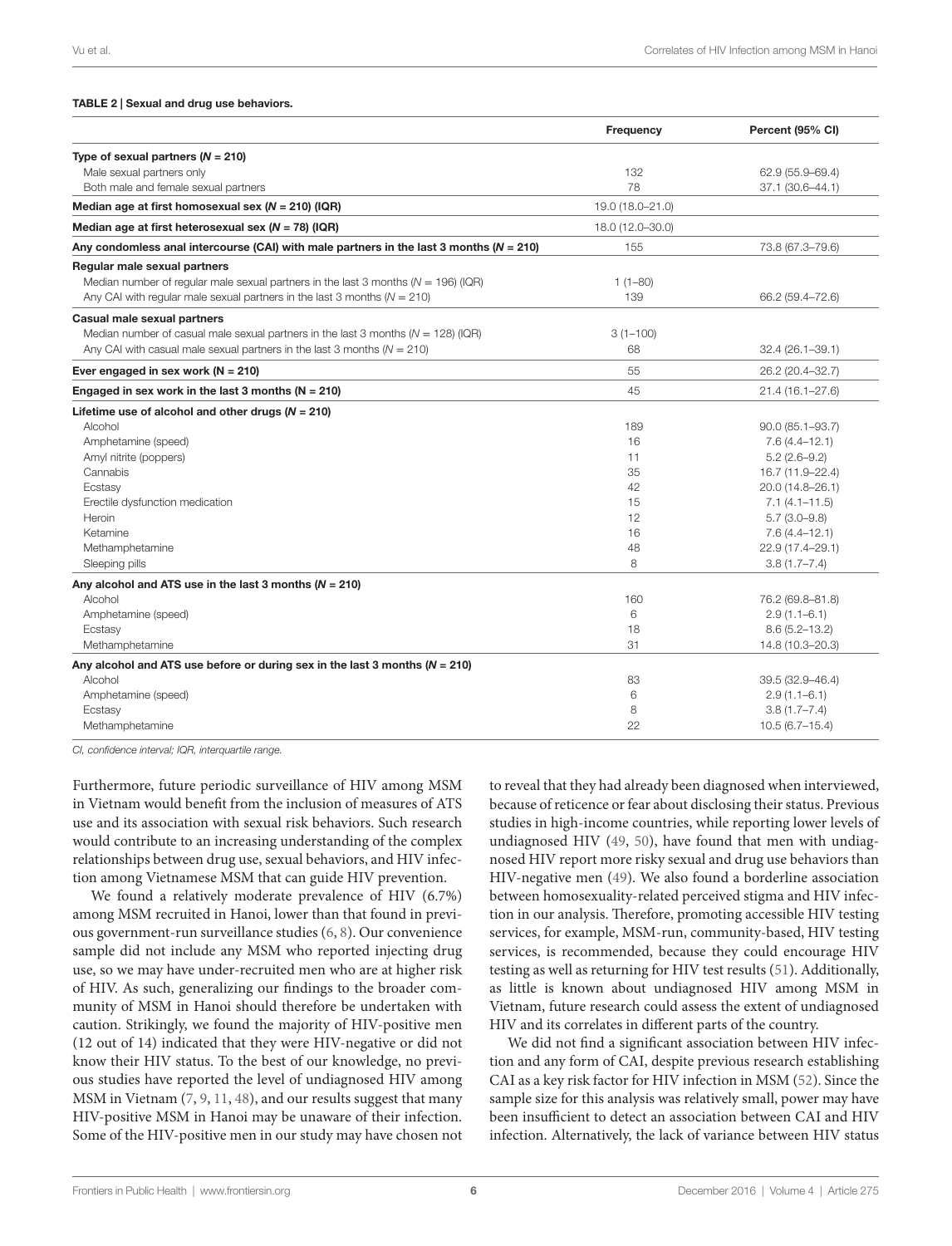#### <span id="page-5-0"></span>TABLE 2 | Sexual and drug use behaviors.

|                                                                                             | Frequency        | Percent (95% CI)    |
|---------------------------------------------------------------------------------------------|------------------|---------------------|
| Type of sexual partners $(N = 210)$                                                         |                  |                     |
| Male sexual partners only                                                                   | 132              | 62.9 (55.9-69.4)    |
| Both male and female sexual partners                                                        | 78               | 37.1 (30.6-44.1)    |
| Median age at first homosexual sex ( $N = 210$ ) (IQR)                                      | 19.0 (18.0-21.0) |                     |
| Median age at first heterosexual sex ( $N = 78$ ) (IQR)                                     | 18.0 (12.0-30.0) |                     |
| Any condomless anal intercourse (CAI) with male partners in the last 3 months ( $N = 210$ ) | 155              | 73.8 (67.3-79.6)    |
| Regular male sexual partners                                                                |                  |                     |
| Median number of regular male sexual partners in the last 3 months ( $N = 196$ ) (IQR)      | $1(1 - 80)$      |                     |
| Any CAI with regular male sexual partners in the last 3 months ( $N = 210$ )                | 139              | 66.2 (59.4-72.6)    |
| Casual male sexual partners                                                                 |                  |                     |
| Median number of casual male sexual partners in the last 3 months $(N = 128)$ (IQR)         | $3(1 - 100)$     |                     |
| Any CAI with casual male sexual partners in the last 3 months ( $N = 210$ )                 | 68               | 32.4 (26.1-39.1)    |
| Ever engaged in sex work ( $N = 210$ )                                                      | 55               | 26.2 (20.4-32.7)    |
| Engaged in sex work in the last 3 months ( $N = 210$ )                                      | 45               | 21.4 (16.1-27.6)    |
| Lifetime use of alcohol and other drugs $(N = 210)$                                         |                  |                     |
| Alcohol                                                                                     | 189              | $90.0(85.1 - 93.7)$ |
| Amphetamine (speed)                                                                         | 16               | $7.6(4.4 - 12.1)$   |
| Amyl nitrite (poppers)                                                                      | 11               | $5.2(2.6-9.2)$      |
| Cannabis                                                                                    | 35               | 16.7 (11.9-22.4)    |
| Ecstasy                                                                                     | 42               | 20.0 (14.8-26.1)    |
| Erectile dysfunction medication                                                             | 15               | $7.1(4.1 - 11.5)$   |
| Heroin                                                                                      | 12               | $5.7(3.0-9.8)$      |
| Ketamine                                                                                    | 16               | $7.6(4.4 - 12.1)$   |
| Methamphetamine                                                                             | 48               | 22.9 (17.4-29.1)    |
| Sleeping pills                                                                              | 8                | $3.8(1.7 - 7.4)$    |
| Any alcohol and ATS use in the last 3 months ( $N = 210$ )                                  |                  |                     |
| Alcohol                                                                                     | 160              | 76.2 (69.8-81.8)    |
| Amphetamine (speed)                                                                         | 6                | $2.9(1.1 - 6.1)$    |
| Ecstasy                                                                                     | 18               | $8.6(5.2 - 13.2)$   |
| Methamphetamine                                                                             | 31               | 14.8 (10.3-20.3)    |
| Any alcohol and ATS use before or during sex in the last 3 months ( $N = 210$ )             |                  |                     |
| Alcohol                                                                                     | 83               | 39.5 (32.9-46.4)    |
| Amphetamine (speed)                                                                         | 6                | $2.9(1.1 - 6.1)$    |
| Ecstasy                                                                                     | 8                | $3.8(1.7 - 7.4)$    |
| Methamphetamine                                                                             | 22               | $10.5(6.7-15.4)$    |

*CI, confidence interval; IQR, interquartile range.*

Furthermore, future periodic surveillance of HIV among MSM in Vietnam would benefit from the inclusion of measures of ATS use and its association with sexual risk behaviors. Such research would contribute to an increasing understanding of the complex relationships between drug use, sexual behaviors, and HIV infection among Vietnamese MSM that can guide HIV prevention.

We found a relatively moderate prevalence of HIV (6.7%) among MSM recruited in Hanoi, lower than that found in previous government-run surveillance studies [\(6,](#page-7-5) [8](#page-7-7)). Our convenience sample did not include any MSM who reported injecting drug use, so we may have under-recruited men who are at higher risk of HIV. As such, generalizing our findings to the broader community of MSM in Hanoi should therefore be undertaken with caution. Strikingly, we found the majority of HIV-positive men (12 out of 14) indicated that they were HIV-negative or did not know their HIV status. To the best of our knowledge, no previous studies have reported the level of undiagnosed HIV among MSM in Vietnam [\(7,](#page-7-6) [9,](#page-7-8) [11,](#page-7-10) [48](#page-8-28)), and our results suggest that many HIV-positive MSM in Hanoi may be unaware of their infection. Some of the HIV-positive men in our study may have chosen not to reveal that they had already been diagnosed when interviewed, because of reticence or fear about disclosing their status. Previous studies in high-income countries, while reporting lower levels of undiagnosed HIV [\(49](#page-8-29), [50\)](#page-8-30), have found that men with undiagnosed HIV report more risky sexual and drug use behaviors than HIV-negative men [\(49](#page-8-29)). We also found a borderline association between homosexuality-related perceived stigma and HIV infection in our analysis. Therefore, promoting accessible HIV testing services, for example, MSM-run, community-based, HIV testing services, is recommended, because they could encourage HIV testing as well as returning for HIV test results [\(51\)](#page-8-31). Additionally, as little is known about undiagnosed HIV among MSM in Vietnam, future research could assess the extent of undiagnosed HIV and its correlates in different parts of the country.

We did not find a significant association between HIV infection and any form of CAI, despite previous research establishing CAI as a key risk factor for HIV infection in MSM [\(52](#page-9-0)). Since the sample size for this analysis was relatively small, power may have been insufficient to detect an association between CAI and HIV infection. Alternatively, the lack of variance between HIV status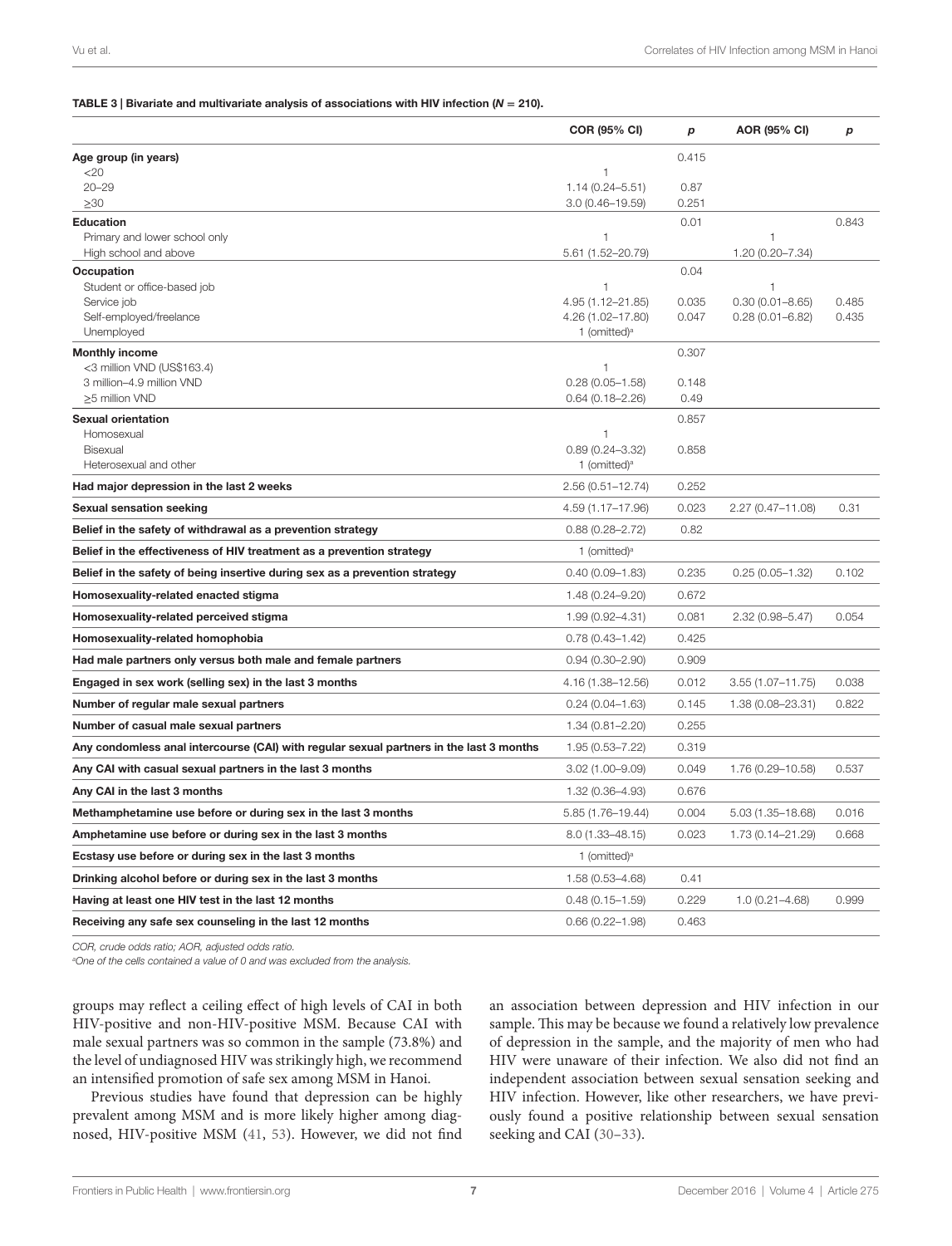#### <span id="page-6-0"></span>TABLE 3 | Bivariate and multivariate analysis of associations with HIV infection (*N* **=** 210).

|                                                                                         | COR (95% CI)                      | p     | AOR (95% CI)          | p     |
|-----------------------------------------------------------------------------------------|-----------------------------------|-------|-----------------------|-------|
| Age group (in years)                                                                    |                                   | 0.415 |                       |       |
| 20                                                                                      | $\mathbf{1}$                      |       |                       |       |
| $20 - 29$                                                                               | $1.14(0.24 - 5.51)$               | 0.87  |                       |       |
| $\geq 30$                                                                               | $3.0(0.46 - 19.59)$               | 0.251 |                       |       |
| <b>Education</b>                                                                        |                                   | 0.01  |                       | 0.843 |
| Primary and lower school only<br>High school and above                                  | $\mathbf{1}$<br>5.61 (1.52-20.79) |       | 1<br>1.20 (0.20-7.34) |       |
| Occupation                                                                              |                                   | 0.04  |                       |       |
| Student or office-based job                                                             | 1                                 |       |                       |       |
| Service job                                                                             | 4.95 (1.12-21.85)                 | 0.035 | $0.30(0.01 - 8.65)$   | 0.485 |
| Self-employed/freelance                                                                 | 4.26 (1.02-17.80)                 | 0.047 | $0.28(0.01 - 6.82)$   | 0.435 |
| Unemployed                                                                              | 1 (omitted) <sup>a</sup>          |       |                       |       |
| <b>Monthly income</b><br><3 million VND (US\$163.4)                                     | $\mathbf{1}$                      | 0.307 |                       |       |
| 3 million-4.9 million VND                                                               | $0.28(0.05 - 1.58)$               | 0.148 |                       |       |
| ≥5 million VND                                                                          | $0.64(0.18 - 2.26)$               | 0.49  |                       |       |
| Sexual orientation                                                                      |                                   | 0.857 |                       |       |
| Homosexual                                                                              | $\mathbf{1}$                      |       |                       |       |
| Bisexual                                                                                | $0.89(0.24 - 3.32)$               | 0.858 |                       |       |
| Heterosexual and other                                                                  | 1 (omitted) <sup>a</sup>          |       |                       |       |
| Had major depression in the last 2 weeks                                                | $2.56(0.51 - 12.74)$              | 0.252 |                       |       |
| <b>Sexual sensation seeking</b>                                                         | 4.59 (1.17-17.96)                 | 0.023 | 2.27 (0.47-11.08)     | 0.31  |
| Belief in the safety of withdrawal as a prevention strategy                             | $0.88(0.28 - 2.72)$               | 0.82  |                       |       |
| Belief in the effectiveness of HIV treatment as a prevention strategy                   | 1 (omitted) <sup>a</sup>          |       |                       |       |
| Belief in the safety of being insertive during sex as a prevention strategy             | $0.40(0.09 - 1.83)$               | 0.235 | $0.25(0.05 - 1.32)$   | 0.102 |
| Homosexuality-related enacted stigma                                                    | 1.48 (0.24-9.20)                  | 0.672 |                       |       |
| Homosexuality-related perceived stigma                                                  | 1.99 (0.92-4.31)                  | 0.081 | $2.32(0.98 - 5.47)$   | 0.054 |
| Homosexuality-related homophobia                                                        | $0.78(0.43 - 1.42)$               | 0.425 |                       |       |
| Had male partners only versus both male and female partners                             | $0.94(0.30 - 2.90)$               | 0.909 |                       |       |
| Engaged in sex work (selling sex) in the last 3 months                                  | 4.16 (1.38-12.56)                 | 0.012 | $3.55(1.07 - 11.75)$  | 0.038 |
| Number of regular male sexual partners                                                  | $0.24(0.04 - 1.63)$               | 0.145 | 1.38 (0.08-23.31)     | 0.822 |
| Number of casual male sexual partners                                                   | $1.34(0.81 - 2.20)$               | 0.255 |                       |       |
| Any condomless anal intercourse (CAI) with regular sexual partners in the last 3 months | 1.95 (0.53-7.22)                  | 0.319 |                       |       |
| Any CAI with casual sexual partners in the last 3 months                                | $3.02(1.00 - 9.09)$               | 0.049 | 1.76 (0.29-10.58)     | 0.537 |
| Any CAI in the last 3 months                                                            | 1.32 (0.36-4.93)                  | 0.676 |                       |       |
| Methamphetamine use before or during sex in the last 3 months                           | 5.85 (1.76-19.44)                 | 0.004 | 5.03 (1.35-18.68)     | 0.016 |
| Amphetamine use before or during sex in the last 3 months                               | 8.0 (1.33-48.15)                  | 0.023 | 1.73 (0.14-21.29)     | 0.668 |
| Ecstasy use before or during sex in the last 3 months                                   | 1 (omitted) <sup>a</sup>          |       |                       |       |
| Drinking alcohol before or during sex in the last 3 months                              | 1.58 (0.53-4.68)                  | 0.41  |                       |       |
| Having at least one HIV test in the last 12 months                                      | $0.48(0.15 - 1.59)$               | 0.229 | $1.0(0.21 - 4.68)$    | 0.999 |
| Receiving any safe sex counseling in the last 12 months                                 | $0.66(0.22 - 1.98)$               | 0.463 |                       |       |

*COR, crude odds ratio; AOR, adjusted odds ratio.*

*a One of the cells contained a value of 0 and was excluded from the analysis.*

groups may reflect a ceiling effect of high levels of CAI in both HIV-positive and non-HIV-positive MSM. Because CAI with male sexual partners was so common in the sample (73.8%) and the level of undiagnosed HIV was strikingly high, we recommend an intensified promotion of safe sex among MSM in Hanoi.

Previous studies have found that depression can be highly prevalent among MSM and is more likely higher among diagnosed, HIV-positive MSM [\(41](#page-8-22), [53](#page-9-1)). However, we did not find an association between depression and HIV infection in our sample. This may be because we found a relatively low prevalence of depression in the sample, and the majority of men who had HIV were unaware of their infection. We also did not find an independent association between sexual sensation seeking and HIV infection. However, like other researchers, we have previously found a positive relationship between sexual sensation seeking and CAI ([30–](#page-8-13)[33\)](#page-8-14).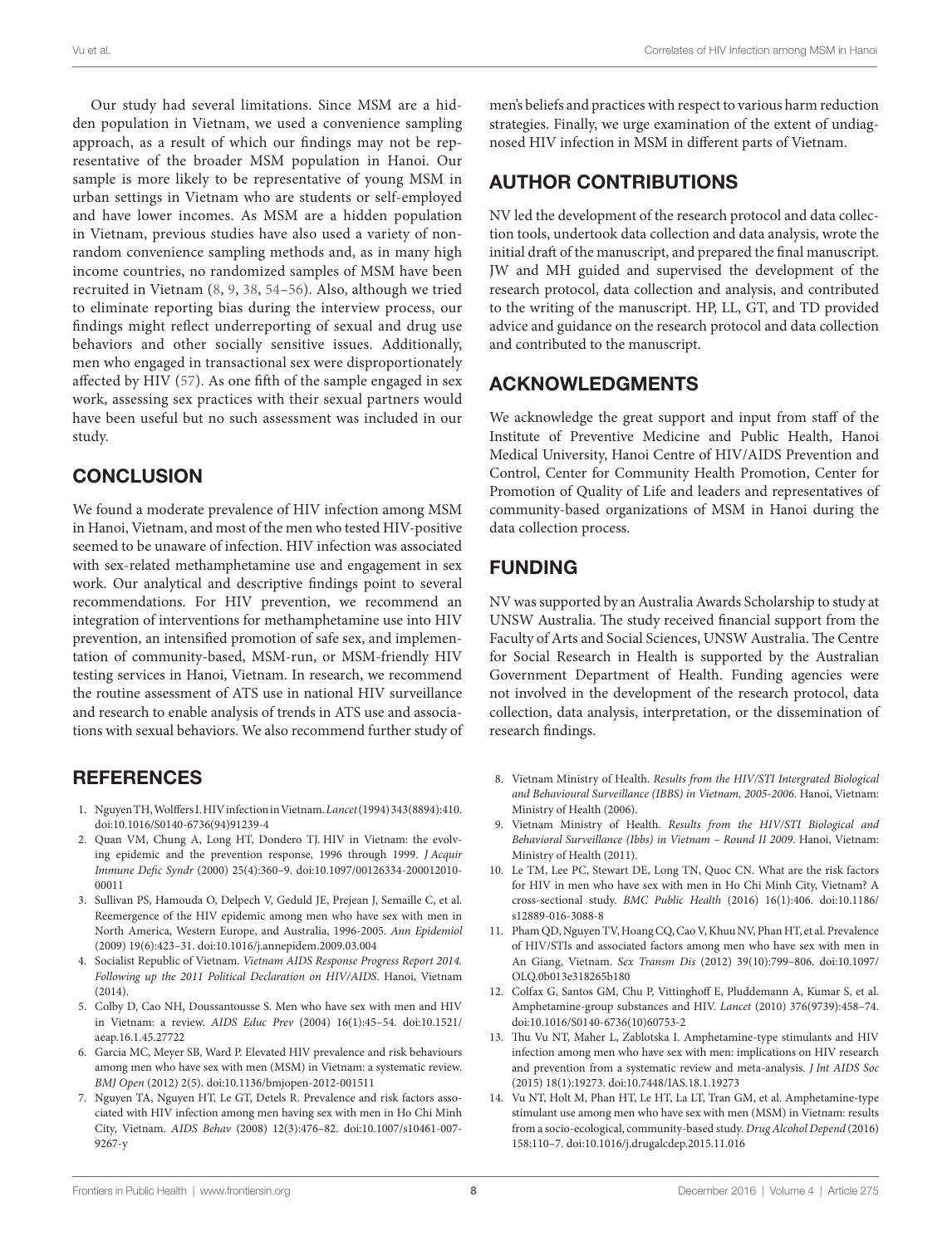Our study had several limitations. Since MSM are a hidden population in Vietnam, we used a convenience sampling approach, as a result of which our findings may not be representative of the broader MSM population in Hanoi. Our sample is more likely to be representative of young MSM in urban settings in Vietnam who are students or self-employed and have lower incomes. As MSM are a hidden population in Vietnam, previous studies have also used a variety of nonrandom convenience sampling methods and, as in many high income countries, no randomized samples of MSM have been recruited in Vietnam [\(8,](#page-7-7) [9](#page-7-8), [38](#page-8-19), [54](#page-9-2)[–56\)](#page-9-3). Also, although we tried to eliminate reporting bias during the interview process, our findings might reflect underreporting of sexual and drug use behaviors and other socially sensitive issues. Additionally, men who engaged in transactional sex were disproportionately affected by HIV ([57](#page-9-4)). As one fifth of the sample engaged in sex work, assessing sex practices with their sexual partners would have been useful but no such assessment was included in our study.

### **CONCLUSION**

We found a moderate prevalence of HIV infection among MSM in Hanoi, Vietnam, and most of the men who tested HIV-positive seemed to be unaware of infection. HIV infection was associated with sex-related methamphetamine use and engagement in sex work. Our analytical and descriptive findings point to several recommendations. For HIV prevention, we recommend an integration of interventions for methamphetamine use into HIV prevention, an intensified promotion of safe sex, and implementation of community-based, MSM-run, or MSM-friendly HIV testing services in Hanoi, Vietnam. In research, we recommend the routine assessment of ATS use in national HIV surveillance and research to enable analysis of trends in ATS use and associations with sexual behaviors. We also recommend further study of

### **REFERENCES**

- <span id="page-7-0"></span>1. Nguyen TH, Wolffers I. HIV infection in Vietnam. *Lancet* (1994) 343(8894):410. doi:[10.1016/S0140-6736\(94\)91239-4](https://doi.org/10.1016/S0140-6736(94)91239-4)
- <span id="page-7-1"></span>2. Quan VM, Chung A, Long HT, Dondero TJ. HIV in Vietnam: the evolving epidemic and the prevention response, 1996 through 1999. *J Acquir Immune Defic Syndr* (2000) 25(4):360–9. doi:[10.1097/00126334-200012010-](https://doi.org/10.1097/00126334-200012010-00011) [00011](https://doi.org/10.1097/00126334-200012010-00011)
- <span id="page-7-2"></span>3. Sullivan PS, Hamouda O, Delpech V, Geduld JE, Prejean J, Semaille C, et al. Reemergence of the HIV epidemic among men who have sex with men in North America, Western Europe, and Australia, 1996-2005. *Ann Epidemiol* (2009) 19(6):423–31. doi[:10.1016/j.annepidem.2009.03.004](https://doi.org/10.1016/j.annepidem.2009.03.004)
- <span id="page-7-3"></span>4. Socialist Republic of Vietnam. *Vietnam AIDS Response Progress Report 2014. Following up the 2011 Political Declaration on HIV/AIDS*. Hanoi, Vietnam (2014).
- <span id="page-7-4"></span>5. Colby D, Cao NH, Doussantousse S. Men who have sex with men and HIV in Vietnam: a review. *AIDS Educ Prev* (2004) 16(1):45–54. doi[:10.1521/](https://doi.org/10.1521/aeap.16.1.45.27722) [aeap.16.1.45.27722](https://doi.org/10.1521/aeap.16.1.45.27722)
- <span id="page-7-5"></span>6. Garcia MC, Meyer SB, Ward P. Elevated HIV prevalence and risk behaviours among men who have sex with men (MSM) in Vietnam: a systematic review. *BMJ Open* (2012) 2(5). doi:[10.1136/bmjopen-2012-001511](https://doi.org/10.1136/bmjopen-2012-001511)
- <span id="page-7-6"></span>7. Nguyen TA, Nguyen HT, Le GT, Detels R. Prevalence and risk factors associated with HIV infection among men having sex with men in Ho Chi Minh City, Vietnam. *AIDS Behav* (2008) 12(3):476–82. doi[:10.1007/s10461-007-](https://doi.org/10.1007/s10461-007-9267-y) [9267-y](https://doi.org/10.1007/s10461-007-9267-y)

men's beliefs and practices with respect to various harm reduction strategies. Finally, we urge examination of the extent of undiagnosed HIV infection in MSM in different parts of Vietnam.

# AUTHOR CONTRIBUTIONS

NV led the development of the research protocol and data collection tools, undertook data collection and data analysis, wrote the initial draft of the manuscript, and prepared the final manuscript. JW and MH guided and supervised the development of the research protocol, data collection and analysis, and contributed to the writing of the manuscript. HP, LL, GT, and TD provided advice and guidance on the research protocol and data collection and contributed to the manuscript.

### ACKNOWLEDGMENTS

We acknowledge the great support and input from staff of the Institute of Preventive Medicine and Public Health, Hanoi Medical University, Hanoi Centre of HIV/AIDS Prevention and Control, Center for Community Health Promotion, Center for Promotion of Quality of Life and leaders and representatives of community-based organizations of MSM in Hanoi during the data collection process.

# FUNDING

NV was supported by an Australia Awards Scholarship to study at UNSW Australia. The study received financial support from the Faculty of Arts and Social Sciences, UNSW Australia. The Centre for Social Research in Health is supported by the Australian Government Department of Health. Funding agencies were not involved in the development of the research protocol, data collection, data analysis, interpretation, or the dissemination of research findings.

- <span id="page-7-7"></span>8. Vietnam Ministry of Health. *Results from the HIV/STI Intergrated Biological and Behavioural Surveillance (IBBS) in Vietnam, 2005-2006*. Hanoi, Vietnam: Ministry of Health (2006).
- <span id="page-7-8"></span>9. Vietnam Ministry of Health. *Results from the HIV/STI Biological and Behavioral Surveillance (Ibbs) in Vietnam – Round II 2009*. Hanoi, Vietnam: Ministry of Health (2011).
- <span id="page-7-9"></span>10. Le TM, Lee PC, Stewart DE, Long TN, Quoc CN. What are the risk factors for HIV in men who have sex with men in Ho Chi Minh City, Vietnam? A cross-sectional study. *BMC Public Health* (2016) 16(1):406. doi[:10.1186/](https://doi.org/10.1186/s12889-016-3088-8) [s12889-016-3088-8](https://doi.org/10.1186/s12889-016-3088-8)
- <span id="page-7-10"></span>11. Pham QD, Nguyen TV, Hoang CQ, Cao V, Khuu NV, Phan HT, et al. Prevalence of HIV/STIs and associated factors among men who have sex with men in An Giang, Vietnam. *Sex Transm Dis* (2012) 39(10):799–806. doi[:10.1097/](https://doi.org/10.1097/OLQ.0b013e318265b180) [OLQ.0b013e318265b180](https://doi.org/10.1097/OLQ.0b013e318265b180)
- <span id="page-7-11"></span>12. Colfax G, Santos GM, Chu P, Vittinghoff E, Pluddemann A, Kumar S, et al. Amphetamine-group substances and HIV. *Lancet* (2010) 376(9739):458–74. doi:[10.1016/S0140-6736\(10\)60753-2](https://doi.org/10.1016/S0140-6736(10)60753-2)
- <span id="page-7-12"></span>13. Thu Vu NT, Maher L, Zablotska I. Amphetamine-type stimulants and HIV infection among men who have sex with men: implications on HIV research and prevention from a systematic review and meta-analysis. *J Int AIDS Soc* (2015) 18(1):19273. doi:[10.7448/IAS.18.1.19273](https://doi.org/10.7448/IAS.18.1.19273)
- <span id="page-7-13"></span>14. Vu NT, Holt M, Phan HT, Le HT, La LT, Tran GM, et al. Amphetamine-type stimulant use among men who have sex with men (MSM) in Vietnam: results from a socio-ecological, community-based study. *Drug Alcohol Depend* (2016) 158:110–7. doi:[10.1016/j.drugalcdep.2015.11.016](https://doi.org/10.1016/j.drugalcdep.2015.11.016)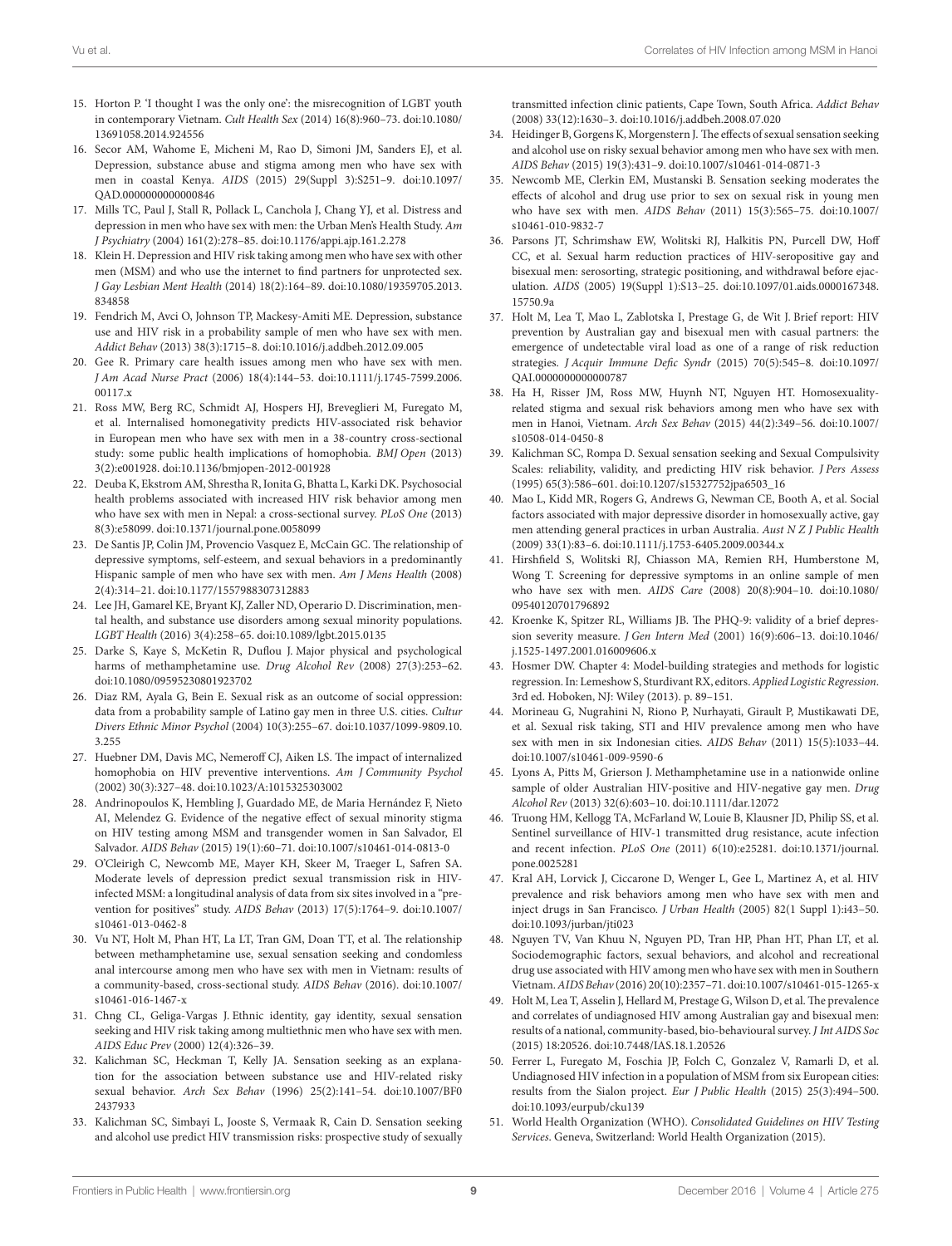- <span id="page-8-0"></span>15. Horton P. 'I thought I was the only one': the misrecognition of LGBT youth in contemporary Vietnam. *Cult Health Sex* (2014) 16(8):960–73. doi:[10.1080/](https://doi.org/10.1080/13691058.2014.924556) [13691058.2014.924556](https://doi.org/10.1080/13691058.2014.924556)
- <span id="page-8-1"></span>16. Secor AM, Wahome E, Micheni M, Rao D, Simoni JM, Sanders EJ, et al. Depression, substance abuse and stigma among men who have sex with men in coastal Kenya. *AIDS* (2015) 29(Suppl 3):S251–9. doi[:10.1097/](https://doi.org/10.1097/QAD.0000000000000846) [QAD.0000000000000846](https://doi.org/10.1097/QAD.0000000000000846)
- <span id="page-8-2"></span>17. Mills TC, Paul J, Stall R, Pollack L, Canchola J, Chang YJ, et al. Distress and depression in men who have sex with men: the Urban Men's Health Study. *Am J Psychiatry* (2004) 161(2):278–85. doi:[10.1176/appi.ajp.161.2.278](https://doi.org/10.1176/appi.ajp.161.2.278)
- <span id="page-8-3"></span>18. Klein H. Depression and HIV risk taking among men who have sex with other men (MSM) and who use the internet to find partners for unprotected sex. *J Gay Lesbian Ment Health* (2014) 18(2):164–89. doi:[10.1080/19359705.2013.](https://doi.org/10.1080/19359705.2013.834858) [834858](https://doi.org/10.1080/19359705.2013.834858)
- <span id="page-8-4"></span>19. Fendrich M, Avci O, Johnson TP, Mackesy-Amiti ME. Depression, substance use and HIV risk in a probability sample of men who have sex with men. *Addict Behav* (2013) 38(3):1715–8. doi:[10.1016/j.addbeh.2012.09.005](https://doi.org/10.1016/j.addbeh.2012.09.005)
- <span id="page-8-5"></span>20. Gee R. Primary care health issues among men who have sex with men. *J Am Acad Nurse Pract* (2006) 18(4):144–53. doi[:10.1111/j.1745-7599.2006.](https://doi.org/10.1111/j.1745-7599.2006.00117.x) [00117.x](https://doi.org/10.1111/j.1745-7599.2006.00117.x)
- <span id="page-8-6"></span>21. Ross MW, Berg RC, Schmidt AJ, Hospers HJ, Breveglieri M, Furegato M, et al. Internalised homonegativity predicts HIV-associated risk behavior in European men who have sex with men in a 38-country cross-sectional study: some public health implications of homophobia. *BMJ Open* (2013) 3(2):e001928. doi[:10.1136/bmjopen-2012-001928](https://doi.org/10.1136/bmjopen-2012-001928)
- <span id="page-8-24"></span>22. Deuba K, Ekstrom AM, Shrestha R, Ionita G, Bhatta L, Karki DK. Psychosocial health problems associated with increased HIV risk behavior among men who have sex with men in Nepal: a cross-sectional survey. *PLoS One* (2013) 8(3):e58099. doi[:10.1371/journal.pone.0058099](https://doi.org/10.1371/journal.pone.0058099)
- <span id="page-8-7"></span>23. De Santis JP, Colin JM, Provencio Vasquez E, McCain GC. The relationship of depressive symptoms, self-esteem, and sexual behaviors in a predominantly Hispanic sample of men who have sex with men. *Am J Mens Health* (2008) 2(4):314–21. doi[:10.1177/1557988307312883](https://doi.org/10.1177/1557988307312883)
- <span id="page-8-8"></span>24. Lee JH, Gamarel KE, Bryant KJ, Zaller ND, Operario D. Discrimination, mental health, and substance use disorders among sexual minority populations. *LGBT Health* (2016) 3(4):258–65. doi[:10.1089/lgbt.2015.0135](https://doi.org/10.1089/lgbt.2015.0135)
- <span id="page-8-9"></span>25. Darke S, Kaye S, McKetin R, Duflou J. Major physical and psychological harms of methamphetamine use. *Drug Alcohol Rev* (2008) 27(3):253–62. doi:[10.1080/09595230801923702](https://doi.org/10.1080/09595230801923702)
- <span id="page-8-10"></span>26. Diaz RM, Ayala G, Bein E. Sexual risk as an outcome of social oppression: data from a probability sample of Latino gay men in three U.S. cities. *Cultur Divers Ethnic Minor Psychol* (2004) 10(3):255–67. doi[:10.1037/1099-9809.10.](https://doi.org/10.1037/1099-9809.10.3.255) [3.255](https://doi.org/10.1037/1099-9809.10.3.255)
- <span id="page-8-11"></span>27. Huebner DM, Davis MC, Nemeroff CJ, Aiken LS. The impact of internalized homophobia on HIV preventive interventions. *Am J Community Psychol* (2002) 30(3):327–48. doi[:10.1023/A:1015325303002](https://doi.org/10.1023/A:1015325303002)
- 28. Andrinopoulos K, Hembling J, Guardado ME, de Maria Hernández F, Nieto AI, Melendez G. Evidence of the negative effect of sexual minority stigma on HIV testing among MSM and transgender women in San Salvador, El Salvador. *AIDS Behav* (2015) 19(1):60–71. doi[:10.1007/s10461-014-0813-0](https://doi.org/10.1007/s10461-014-0813-0)
- <span id="page-8-12"></span>29. O'Cleirigh C, Newcomb ME, Mayer KH, Skeer M, Traeger L, Safren SA. Moderate levels of depression predict sexual transmission risk in HIVinfected MSM: a longitudinal analysis of data from six sites involved in a "prevention for positives" study. *AIDS Behav* (2013) 17(5):1764–9. doi[:10.1007/](https://doi.org/10.1007/s10461-013-0462-8) [s10461-013-0462-8](https://doi.org/10.1007/s10461-013-0462-8)
- <span id="page-8-13"></span>30. Vu NT, Holt M, Phan HT, La LT, Tran GM, Doan TT, et al. The relationship between methamphetamine use, sexual sensation seeking and condomless anal intercourse among men who have sex with men in Vietnam: results of a community-based, cross-sectional study. *AIDS Behav* (2016). doi[:10.1007/](https://doi.org/10.1007/s10461-016-1467-x) [s10461-016-1467-x](https://doi.org/10.1007/s10461-016-1467-x)
- 31. Chng CL, Geliga-Vargas J. Ethnic identity, gay identity, sexual sensation seeking and HIV risk taking among multiethnic men who have sex with men. *AIDS Educ Prev* (2000) 12(4):326–39.
- 32. Kalichman SC, Heckman T, Kelly JA. Sensation seeking as an explanation for the association between substance use and HIV-related risky sexual behavior. *Arch Sex Behav* (1996) 25(2):141–54. doi[:10.1007/BF0](https://doi.org/10.1007/BF02437933) [2437933](https://doi.org/10.1007/BF02437933)
- <span id="page-8-14"></span>33. Kalichman SC, Simbayi L, Jooste S, Vermaak R, Cain D. Sensation seeking and alcohol use predict HIV transmission risks: prospective study of sexually

<span id="page-8-15"></span>transmitted infection clinic patients, Cape Town, South Africa. *Addict Behav* (2008) 33(12):1630–3. doi[:10.1016/j.addbeh.2008.07.020](https://doi.org/10.1016/j.addbeh.2008.07.020) 

- 34. Heidinger B, Gorgens K, Morgenstern J. The effects of sexual sensation seeking and alcohol use on risky sexual behavior among men who have sex with men. *AIDS Behav* (2015) 19(3):431–9. doi:[10.1007/s10461-014-0871-3](https://doi.org/10.1007/s10461-014-0871-3)
- <span id="page-8-16"></span>35. Newcomb ME, Clerkin EM, Mustanski B. Sensation seeking moderates the effects of alcohol and drug use prior to sex on sexual risk in young men who have sex with men. *AIDS Behav* (2011) 15(3):565–75. doi[:10.1007/](https://doi.org/10.1007/s10461-010-9832-7) [s10461-010-9832-7](https://doi.org/10.1007/s10461-010-9832-7)
- <span id="page-8-17"></span>36. Parsons JT, Schrimshaw EW, Wolitski RJ, Halkitis PN, Purcell DW, Hoff CC, et al. Sexual harm reduction practices of HIV-seropositive gay and bisexual men: serosorting, strategic positioning, and withdrawal before ejaculation. *AIDS* (2005) 19(Suppl 1):S13–25. doi:[10.1097/01.aids.0000167348.](https://doi.org/10.1097/01.aids.0000167348.15750.9a) [15750.9a](https://doi.org/10.1097/01.aids.0000167348.15750.9a)
- <span id="page-8-18"></span>37. Holt M, Lea T, Mao L, Zablotska I, Prestage G, de Wit J. Brief report: HIV prevention by Australian gay and bisexual men with casual partners: the emergence of undetectable viral load as one of a range of risk reduction strategies. *J Acquir Immune Defic Syndr* (2015) 70(5):545–8. doi[:10.1097/](https://doi.org/10.1097/QAI.0000000000000787) [QAI.0000000000000787](https://doi.org/10.1097/QAI.0000000000000787)
- <span id="page-8-19"></span>38. Ha H, Risser JM, Ross MW, Huynh NT, Nguyen HT. Homosexualityrelated stigma and sexual risk behaviors among men who have sex with men in Hanoi, Vietnam. *Arch Sex Behav* (2015) 44(2):349–56. doi[:10.1007/](https://doi.org/10.1007/s10508-014-0450-8) [s10508-014-0450-8](https://doi.org/10.1007/s10508-014-0450-8)
- <span id="page-8-20"></span>39. Kalichman SC, Rompa D. Sexual sensation seeking and Sexual Compulsivity Scales: reliability, validity, and predicting HIV risk behavior. *J Pers Assess* (1995) 65(3):586–601. doi[:10.1207/s15327752jpa6503\\_16](https://doi.org/10.1207/s15327752jpa6503_16)
- <span id="page-8-21"></span>40. Mao L, Kidd MR, Rogers G, Andrews G, Newman CE, Booth A, et al. Social factors associated with major depressive disorder in homosexually active, gay men attending general practices in urban Australia. *Aust N Z J Public Health* (2009) 33(1):83–6. doi:[10.1111/j.1753-6405.2009.00344.x](https://doi.org/10.1111/j.1753-6405.2009.00344.x)
- <span id="page-8-22"></span>41. Hirshfield S, Wolitski RJ, Chiasson MA, Remien RH, Humberstone M, Wong T. Screening for depressive symptoms in an online sample of men who have sex with men. *AIDS Care* (2008) 20(8):904–10. doi[:10.1080/](https://doi.org/10.1080/09540120701796892) [09540120701796892](https://doi.org/10.1080/09540120701796892)
- <span id="page-8-23"></span>42. Kroenke K, Spitzer RL, Williams JB. The PHQ-9: validity of a brief depression severity measure. *J Gen Intern Med* (2001) 16(9):606–13. doi[:10.1046/](https://doi.org/10.1046/j.1525-1497.2001.016009606.x) [j.1525-1497.2001.016009606.x](https://doi.org/10.1046/j.1525-1497.2001.016009606.x)
- <span id="page-8-25"></span>43. Hosmer DW. Chapter 4: Model-building strategies and methods for logistic regression. In: Lemeshow S, Sturdivant RX, editors. *Applied Logistic Regression*. 3rd ed. Hoboken, NJ: Wiley (2013). p. 89–151.
- <span id="page-8-26"></span>44. Morineau G, Nugrahini N, Riono P, Nurhayati, Girault P, Mustikawati DE, et al. Sexual risk taking, STI and HIV prevalence among men who have sex with men in six Indonesian cities. *AIDS Behav* (2011) 15(5):1033–44. doi:[10.1007/s10461-009-9590-6](https://doi.org/10.1007/s10461-009-9590-6)
- 45. Lyons A, Pitts M, Grierson J. Methamphetamine use in a nationwide online sample of older Australian HIV-positive and HIV-negative gay men. *Drug Alcohol Rev* (2013) 32(6):603–10. doi[:10.1111/dar.12072](https://doi.org/10.1111/dar.12072)
- 46. Truong HM, Kellogg TA, McFarland W, Louie B, Klausner JD, Philip SS, et al. Sentinel surveillance of HIV-1 transmitted drug resistance, acute infection and recent infection. *PLoS One* (2011) 6(10):e25281. doi:[10.1371/journal.](https://doi.org/10.1371/journal.pone.0025281) [pone.0025281](https://doi.org/10.1371/journal.pone.0025281)
- <span id="page-8-27"></span>47. Kral AH, Lorvick J, Ciccarone D, Wenger L, Gee L, Martinez A, et al. HIV prevalence and risk behaviors among men who have sex with men and inject drugs in San Francisco. *J Urban Health* (2005) 82(1 Suppl 1):i43–50. doi:[10.1093/jurban/jti023](https://doi.org/10.1093/jurban/jti023)
- <span id="page-8-28"></span>48. Nguyen TV, Van Khuu N, Nguyen PD, Tran HP, Phan HT, Phan LT, et al. Sociodemographic factors, sexual behaviors, and alcohol and recreational drug use associated with HIV among men who have sex with men in Southern Vietnam. *AIDS Behav* (2016) 20(10):2357–71. doi:[10.1007/s10461-015-1265-x](https://doi.org/10.1007/s10461-015-1265-x)
- <span id="page-8-29"></span>49. Holt M, Lea T, Asselin J, Hellard M, Prestage G, Wilson D, et al. The prevalence and correlates of undiagnosed HIV among Australian gay and bisexual men: results of a national, community-based, bio-behavioural survey. *J Int AIDS Soc* (2015) 18:20526. doi[:10.7448/IAS.18.1.20526](https://doi.org/10.7448/IAS.18.1.20526)
- <span id="page-8-30"></span>50. Ferrer L, Furegato M, Foschia JP, Folch C, Gonzalez V, Ramarli D, et al. Undiagnosed HIV infection in a population of MSM from six European cities: results from the Sialon project. *Eur J Public Health* (2015) 25(3):494–500. doi:[10.1093/eurpub/cku139](https://doi.org/10.1093/eurpub/cku139)
- <span id="page-8-31"></span>51. World Health Organization (WHO). *Consolidated Guidelines on HIV Testing Services*. Geneva, Switzerland: World Health Organization (2015).